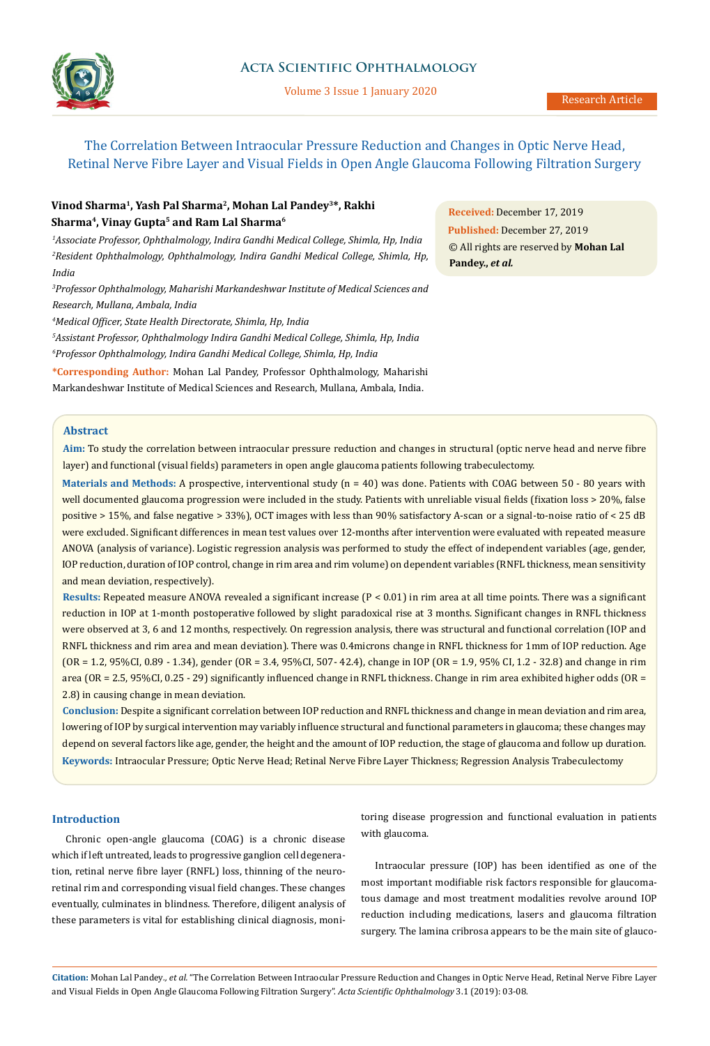

# **Acta Scientific Ophthalmology**

Volume 3 Issue 1 January 2020

The Correlation Between Intraocular Pressure Reduction and Changes in Optic Nerve Head, Retinal Nerve Fibre Layer and Visual Fields in Open Angle Glaucoma Following Filtration Surgery

# **Vinod Sharma1, Yash Pal Sharma2, Mohan Lal Pandey3\*, Rakhi Sharma4, Vinay Gupta5 and Ram Lal Sharma6**

*1 Associate Professor, Ophthalmology, Indira Gandhi Medical College, Shimla, Hp, India 2 Resident Ophthalmology, Ophthalmology, Indira Gandhi Medical College, Shimla, Hp, India*

*3 Professor Ophthalmology, Maharishi Markandeshwar Institute of Medical Sciences and Research, Mullana, Ambala, India*

*4 Medical Officer, State Health Directorate, Shimla, Hp, India*

*5 Assistant Professor, Ophthalmology Indira Gandhi Medical College, Shimla, Hp, India 6 Professor Ophthalmology, Indira Gandhi Medical College, Shimla, Hp, India*

**\*Corresponding Author:** Mohan Lal Pandey, Professor Ophthalmology, Maharishi Markandeshwar Institute of Medical Sciences and Research, Mullana, Ambala, India.

**Abstract**

**Aim:** To study the correlation between intraocular pressure reduction and changes in structural (optic nerve head and nerve fibre layer) and functional (visual fields) parameters in open angle glaucoma patients following trabeculectomy.

**Materials and Methods:** A prospective, interventional study (n = 40) was done. Patients with COAG between 50 - 80 years with well documented glaucoma progression were included in the study. Patients with unreliable visual fields (fixation loss > 20%, false positive > 15%, and false negative > 33%), OCT images with less than 90% satisfactory A-scan or a signal-to-noise ratio of < 25 dB were excluded. Significant differences in mean test values over 12-months after intervention were evaluated with repeated measure ANOVA (analysis of variance). Logistic regression analysis was performed to study the effect of independent variables (age, gender, IOP reduction, duration of IOP control, change in rim area and rim volume) on dependent variables (RNFL thickness, mean sensitivity and mean deviation, respectively).

**Results:** Repeated measure ANOVA revealed a significant increase (P < 0.01) in rim area at all time points. There was a significant reduction in IOP at 1-month postoperative followed by slight paradoxical rise at 3 months. Significant changes in RNFL thickness were observed at 3, 6 and 12 months, respectively. On regression analysis, there was structural and functional correlation (IOP and RNFL thickness and rim area and mean deviation). There was 0.4microns change in RNFL thickness for 1mm of IOP reduction. Age (OR = 1.2, 95%CI, 0.89 - 1.34), gender (OR = 3.4, 95%CI, 507- 42.4), change in IOP (OR = 1.9, 95% CI, 1.2 - 32.8) and change in rim area (OR = 2.5, 95%CI, 0.25 - 29) significantly influenced change in RNFL thickness. Change in rim area exhibited higher odds (OR = 2.8) in causing change in mean deviation.

**Keywords:** Intraocular Pressure; Optic Nerve Head; Retinal Nerve Fibre Layer Thickness; Regression Analysis Trabeculectomy **Conclusion:** Despite a significant correlation between IOP reduction and RNFL thickness and change in mean deviation and rim area, lowering of IOP by surgical intervention may variably influence structural and functional parameters in glaucoma; these changes may depend on several factors like age, gender, the height and the amount of IOP reduction, the stage of glaucoma and follow up duration.

# **Introduction**

Chronic open-angle glaucoma (COAG) is a chronic disease which if left untreated, leads to progressive ganglion cell degeneration, retinal nerve fibre layer (RNFL) loss, thinning of the neuroretinal rim and corresponding visual field changes. These changes eventually, culminates in blindness. Therefore, diligent analysis of these parameters is vital for establishing clinical diagnosis, monitoring disease progression and functional evaluation in patients with glaucoma.

Intraocular pressure (IOP) has been identified as one of the most important modifiable risk factors responsible for glaucomatous damage and most treatment modalities revolve around IOP reduction including medications, lasers and glaucoma filtration surgery. The lamina cribrosa appears to be the main site of glauco-

**Citation:** Mohan Lal Pandey*., et al.* "The Correlation Between Intraocular Pressure Reduction and Changes in Optic Nerve Head, Retinal Nerve Fibre Layer and Visual Fields in Open Angle Glaucoma Following Filtration Surgery". *Acta Scientific Ophthalmology* 3.1 (2019): 03-08.

**Received:** December 17, 2019 **Published:** December 27, 2019 © All rights are reserved by **Mohan Lal Pandey.,** *et al.*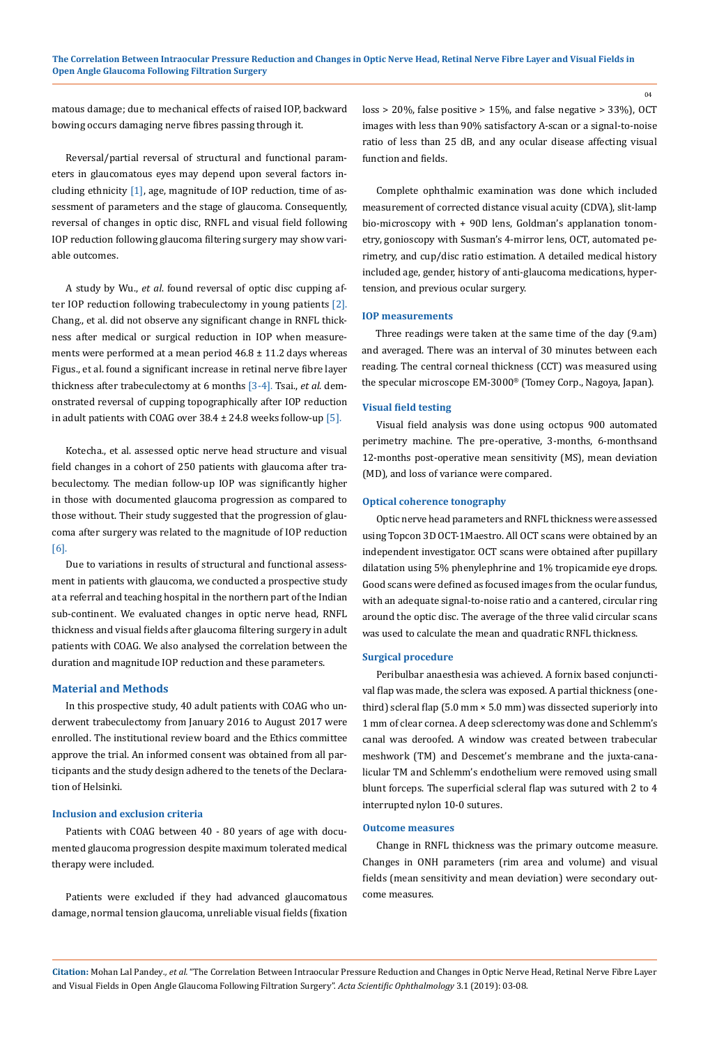matous damage; due to mechanical effects of raised IOP, backward bowing occurs damaging nerve fibres passing through it.

Reversal/partial reversal of structural and functional parameters in glaucomatous eyes may depend upon several factors including ethnicity [1], age, magnitude of IOP reduction, time of assessment of parameters and the stage of glaucoma. Consequently, reversal of changes in optic disc, RNFL and visual field following IOP reduction following glaucoma filtering surgery may show variable outcomes.

A study by Wu., *et al*. found reversal of optic disc cupping after IOP reduction following trabeculectomy in young patients [2]. Chang., et al. did not observe any significant change in RNFL thickness after medical or surgical reduction in IOP when measurements were performed at a mean period  $46.8 \pm 11.2$  days whereas Figus., et al. found a significant increase in retinal nerve fibre layer thickness after trabeculectomy at 6 months [3-4]. Tsai., *et al*. demonstrated reversal of cupping topographically after IOP reduction in adult patients with COAG over  $38.4 \pm 24.8$  weeks follow-up [5].

Kotecha., et al. assessed optic nerve head structure and visual field changes in a cohort of 250 patients with glaucoma after trabeculectomy. The median follow-up IOP was significantly higher in those with documented glaucoma progression as compared to those without. Their study suggested that the progression of glaucoma after surgery was related to the magnitude of IOP reduction [6].

Due to variations in results of structural and functional assessment in patients with glaucoma, we conducted a prospective study at a referral and teaching hospital in the northern part of the Indian sub-continent. We evaluated changes in optic nerve head, RNFL thickness and visual fields after glaucoma filtering surgery in adult patients with COAG. We also analysed the correlation between the duration and magnitude IOP reduction and these parameters.

# **Material and Methods**

In this prospective study, 40 adult patients with COAG who underwent trabeculectomy from January 2016 to August 2017 were enrolled. The institutional review board and the Ethics committee approve the trial. An informed consent was obtained from all participants and the study design adhered to the tenets of the Declaration of Helsinki.

# **Inclusion and exclusion criteria**

Patients with COAG between 40 - 80 years of age with documented glaucoma progression despite maximum tolerated medical therapy were included.

Patients were excluded if they had advanced glaucomatous damage, normal tension glaucoma, unreliable visual fields (fixation loss > 20%, false positive > 15%, and false negative > 33%), OCT images with less than 90% satisfactory A-scan or a signal-to-noise ratio of less than 25 dB, and any ocular disease affecting visual function and fields.

Complete ophthalmic examination was done which included measurement of corrected distance visual acuity (CDVA), slit-lamp bio-microscopy with + 90D lens, Goldman's applanation tonometry, gonioscopy with Susman's 4-mirror lens, OCT, automated perimetry, and cup/disc ratio estimation. A detailed medical history included age, gender, history of anti-glaucoma medications, hypertension, and previous ocular surgery.

#### **IOP measurements**

Three readings were taken at the same time of the day (9.am) and averaged. There was an interval of 30 minutes between each reading. The central corneal thickness (CCT) was measured using the specular microscope EM-3000® (Tomey Corp., Nagoya, Japan).

#### **Visual field testing**

Visual field analysis was done using octopus 900 automated perimetry machine. The pre-operative, 3-months, 6-monthsand 12-months post-operative mean sensitivity (MS), mean deviation (MD), and loss of variance were compared.

#### **Optical coherence tonography**

Optic nerve head parameters and RNFL thickness were assessed using Topcon 3D OCT-1Maestro. All OCT scans were obtained by an independent investigator. OCT scans were obtained after pupillary dilatation using 5% phenylephrine and 1% tropicamide eye drops. Good scans were defined as focused images from the ocular fundus, with an adequate signal-to-noise ratio and a cantered, circular ring around the optic disc. The average of the three valid circular scans was used to calculate the mean and quadratic RNFL thickness.

### **Surgical procedure**

Peribulbar anaesthesia was achieved. A fornix based conjunctival flap was made, the sclera was exposed. A partial thickness (onethird) scleral flap (5.0 mm × 5.0 mm) was dissected superiorly into 1 mm of clear cornea. A deep sclerectomy was done and Schlemm's canal was deroofed. A window was created between trabecular meshwork (TM) and Descemet's membrane and the juxta-canalicular TM and Schlemm's endothelium were removed using small blunt forceps. The superficial scleral flap was sutured with 2 to 4 interrupted nylon 10-0 sutures.

### **Outcome measures**

Change in RNFL thickness was the primary outcome measure. Changes in ONH parameters (rim area and volume) and visual fields (mean sensitivity and mean deviation) were secondary outcome measures.

**Citation:** Mohan Lal Pandey*., et al.* "The Correlation Between Intraocular Pressure Reduction and Changes in Optic Nerve Head, Retinal Nerve Fibre Layer and Visual Fields in Open Angle Glaucoma Following Filtration Surgery". *Acta Scientific Ophthalmology* 3.1 (2019): 03-08.

04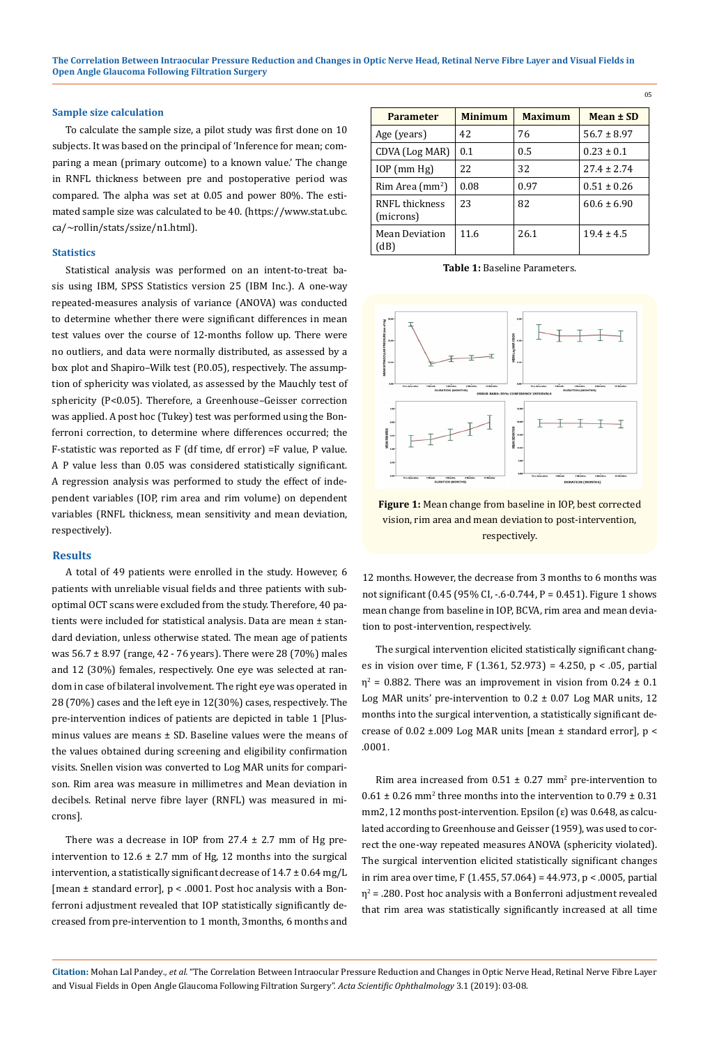#### **Sample size calculation**

To calculate the sample size, a pilot study was first done on 10 subjects. It was based on the principal of 'Inference for mean; comparing a mean (primary outcome) to a known value.' The change in RNFL thickness between pre and postoperative period was compared. The alpha was set at 0.05 and power 80%. The estimated sample size was calculated to be 40. (https://www.stat.ubc. ca/~rollin/stats/ssize/n1.html).

#### **Statistics**

Statistical analysis was performed on an intent-to-treat basis using IBM, SPSS Statistics version 25 (IBM Inc.). A one-way repeated-measures analysis of variance (ANOVA) was conducted to determine whether there were significant differences in mean test values over the course of 12-months follow up. There were no outliers, and data were normally distributed, as assessed by a box plot and Shapiro–Wilk test (P.0.05), respectively. The assumption of sphericity was violated, as assessed by the Mauchly test of sphericity (P<0.05). Therefore, a Greenhouse–Geisser correction was applied. A post hoc (Tukey) test was performed using the Bonferroni correction, to determine where differences occurred; the F-statistic was reported as F (df time, df error) =F value, P value. A P value less than 0.05 was considered statistically significant. A regression analysis was performed to study the effect of independent variables (IOP, rim area and rim volume) on dependent variables (RNFL thickness, mean sensitivity and mean deviation, respectively).

### **Results**

A total of 49 patients were enrolled in the study. However, 6 patients with unreliable visual fields and three patients with suboptimal OCT scans were excluded from the study. Therefore, 40 patients were included for statistical analysis. Data are mean ± standard deviation, unless otherwise stated. The mean age of patients was 56.7 ± 8.97 (range, 42 - 76 years). There were 28 (70%) males and 12 (30%) females, respectively. One eye was selected at random in case of bilateral involvement. The right eye was operated in 28 (70%) cases and the left eye in 12(30%) cases, respectively. The pre-intervention indices of patients are depicted in table 1 [Plusminus values are means  $\pm$  SD. Baseline values were the means of the values obtained during screening and eligibility confirmation visits. Snellen vision was converted to Log MAR units for comparison. Rim area was measure in millimetres and Mean deviation in decibels. Retinal nerve fibre layer (RNFL) was measured in microns].

There was a decrease in IOP from  $27.4 \pm 2.7$  mm of Hg preintervention to  $12.6 \pm 2.7$  mm of Hg, 12 months into the surgical intervention, a statistically significant decrease of  $14.7 \pm 0.64$  mg/L [mean ± standard error], p < .0001. Post hoc analysis with a Bonferroni adjustment revealed that IOP statistically significantly decreased from pre-intervention to 1 month, 3months, 6 months and

| <b>Parameter</b>               | <b>Minimum</b> | <b>Maximum</b> | Mean $\pm$ SD   |  |
|--------------------------------|----------------|----------------|-----------------|--|
| Age (years)                    | 42             | 76             | $56.7 \pm 8.97$ |  |
| CDVA (Log MAR)                 | 0.1            | 0.5            | $0.23 \pm 0.1$  |  |
| $IOP$ (mm $Hg$ )               | 22             | 32             | $27.4 \pm 2.74$ |  |
| $R$ im Area (mm <sup>2</sup> ) | 0.08           | 0.97           | $0.51 \pm 0.26$ |  |
| RNFL thickness<br>(microns)    | 23             | 82             | $60.6 \pm 6.90$ |  |
| Mean Deviation<br>(dB)         | 11.6           | 26.1           | $19.4 + 4.5$    |  |

05

**Table 1:** Baseline Parameters.



**Figure 1:** Mean change from baseline in IOP, best corrected vision, rim area and mean deviation to post-intervention, respectively.

12 months. However, the decrease from 3 months to 6 months was not significant (0.45 (95% CI, -.6-0.744, P = 0.451). Figure 1 shows mean change from baseline in IOP, BCVA, rim area and mean deviation to post-intervention, respectively.

The surgical intervention elicited statistically significant changes in vision over time, F (1.361, 52.973) = 4.250, p < .05, partial  $\eta^2$  = 0.882. There was an improvement in vision from 0.24  $\pm$  0.1 Log MAR units' pre-intervention to 0.2 ± 0.07 Log MAR units, 12 months into the surgical intervention, a statistically significant decrease of 0.02 ±.009 Log MAR units [mean ± standard error], p < .0001.

Rim area increased from  $0.51 \pm 0.27$  mm<sup>2</sup> pre-intervention to  $0.61 \pm 0.26$  mm<sup>2</sup> three months into the intervention to  $0.79 \pm 0.31$ mm2, 12 months post-intervention. Epsilon (ε) was 0.648, as calculated according to Greenhouse and Geisser (1959), was used to correct the one-way repeated measures ANOVA (sphericity violated). The surgical intervention elicited statistically significant changes in rim area over time, F (1.455, 57.064) = 44.973, p < .0005, partial  $\eta^2$  = .280. Post hoc analysis with a Bonferroni adjustment revealed that rim area was statistically significantly increased at all time

**Citation:** Mohan Lal Pandey*., et al.* "The Correlation Between Intraocular Pressure Reduction and Changes in Optic Nerve Head, Retinal Nerve Fibre Layer and Visual Fields in Open Angle Glaucoma Following Filtration Surgery". *Acta Scientific Ophthalmology* 3.1 (2019): 03-08.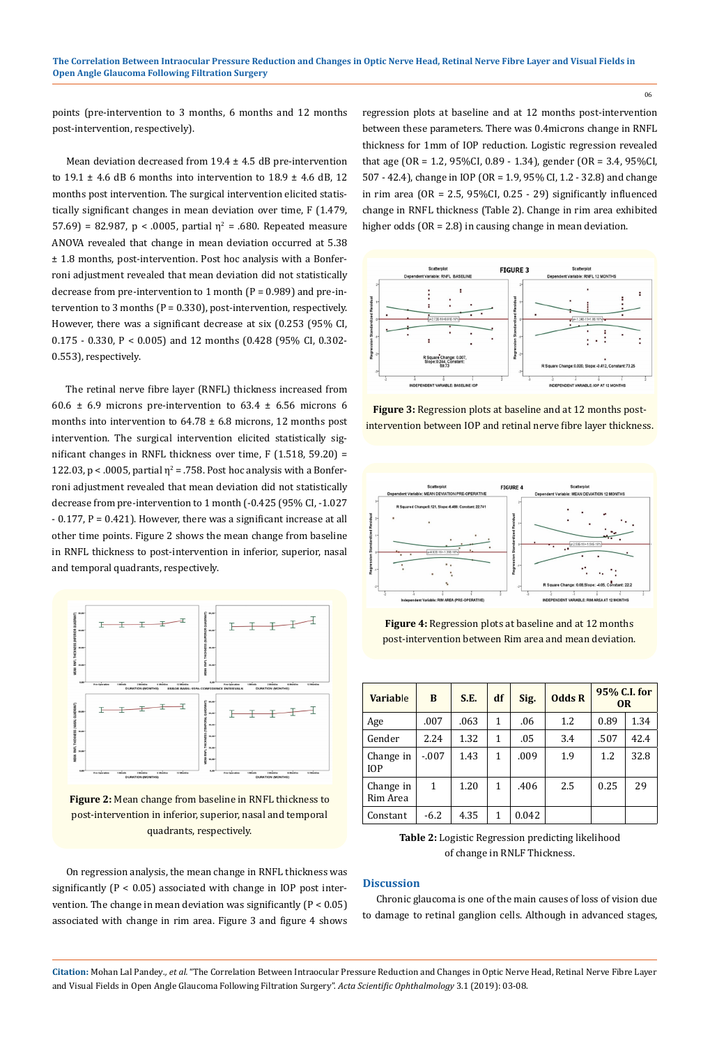points (pre-intervention to 3 months, 6 months and 12 months post-intervention, respectively).

Mean deviation decreased from  $19.4 \pm 4.5$  dB pre-intervention to  $19.1 \pm 4.6$  dB 6 months into intervention to  $18.9 \pm 4.6$  dB, 12 months post intervention. The surgical intervention elicited statistically significant changes in mean deviation over time, F (1.479, 57.69) = 82.987, p < .0005, partial  $\eta^2$  = .680. Repeated measure ANOVA revealed that change in mean deviation occurred at 5.38 ± 1.8 months, post-intervention. Post hoc analysis with a Bonferroni adjustment revealed that mean deviation did not statistically decrease from pre-intervention to 1 month (P = 0.989) and pre-intervention to 3 months ( $P = 0.330$ ), post-intervention, respectively. However, there was a significant decrease at six (0.253 (95% CI, 0.175 - 0.330, P < 0.005) and 12 months (0.428 (95% CI, 0.302- 0.553), respectively.

The retinal nerve fibre layer (RNFL) thickness increased from 60.6  $\pm$  6.9 microns pre-intervention to 63.4  $\pm$  6.56 microns 6 months into intervention to  $64.78 \pm 6.8$  microns, 12 months post intervention. The surgical intervention elicited statistically significant changes in RNFL thickness over time, F (1.518, 59.20) = 122.03,  $p < .0005$ , partial  $\eta^2 = .758$ . Post hoc analysis with a Bonferroni adjustment revealed that mean deviation did not statistically decrease from pre-intervention to 1 month (-0.425 (95% CI, -1.027 - 0.177, P = 0.421). However, there was a significant increase at all other time points. Figure 2 shows the mean change from baseline in RNFL thickness to post-intervention in inferior, superior, nasal and temporal quadrants, respectively.



**Figure 2:** Mean change from baseline in RNFL thickness to post-intervention in inferior, superior, nasal and temporal quadrants, respectively.

On regression analysis, the mean change in RNFL thickness was significantly  $(P < 0.05)$  associated with change in IOP post intervention. The change in mean deviation was significantly  $(P < 0.05)$ associated with change in rim area. Figure 3 and figure 4 shows regression plots at baseline and at 12 months post-intervention between these parameters. There was 0.4microns change in RNFL thickness for 1mm of IOP reduction. Logistic regression revealed that age (OR = 1.2, 95%CI, 0.89 - 1.34), gender (OR = 3.4, 95%CI, 507 - 42.4), change in IOP (OR = 1.9, 95% CI, 1.2 - 32.8) and change in rim area (OR = 2.5, 95%CI, 0.25 - 29) significantly influenced change in RNFL thickness (Table 2). Change in rim area exhibited higher odds (OR = 2.8) in causing change in mean deviation.

06



**Figure 3:** Regression plots at baseline and at 12 months postintervention between IOP and retinal nerve fibre layer thickness.



**Figure 4:** Regression plots at baseline and at 12 months post-intervention between Rim area and mean deviation.

| Variable                | B       | S.E. | df | Sig.  | <b>Odds R</b> | 95% C.I. for<br><b>OR</b> |      |
|-------------------------|---------|------|----|-------|---------------|---------------------------|------|
| Age                     | .007    | .063 | 1  | .06   | 1.2           | 0.89                      | 1.34 |
| Gender                  | 2.24    | 1.32 | 1  | .05   | 3.4           | .507                      | 42.4 |
| Change in<br><b>IOP</b> | $-.007$ | 1.43 | 1  | .009  | 1.9           | 1.2                       | 32.8 |
| Change in<br>Rim Area   | 1       | 1.20 | 1  | .406  | 2.5           | 0.25                      | 29   |
| Constant                | $-6.2$  | 4.35 | 1  | 0.042 |               |                           |      |

**Table 2:** Logistic Regression predicting likelihood of change in RNLF Thickness.

# **Discussion**

Chronic glaucoma is one of the main causes of loss of vision due to damage to retinal ganglion cells. Although in advanced stages,

**Citation:** Mohan Lal Pandey*., et al.* "The Correlation Between Intraocular Pressure Reduction and Changes in Optic Nerve Head, Retinal Nerve Fibre Layer and Visual Fields in Open Angle Glaucoma Following Filtration Surgery". *Acta Scientific Ophthalmology* 3.1 (2019): 03-08.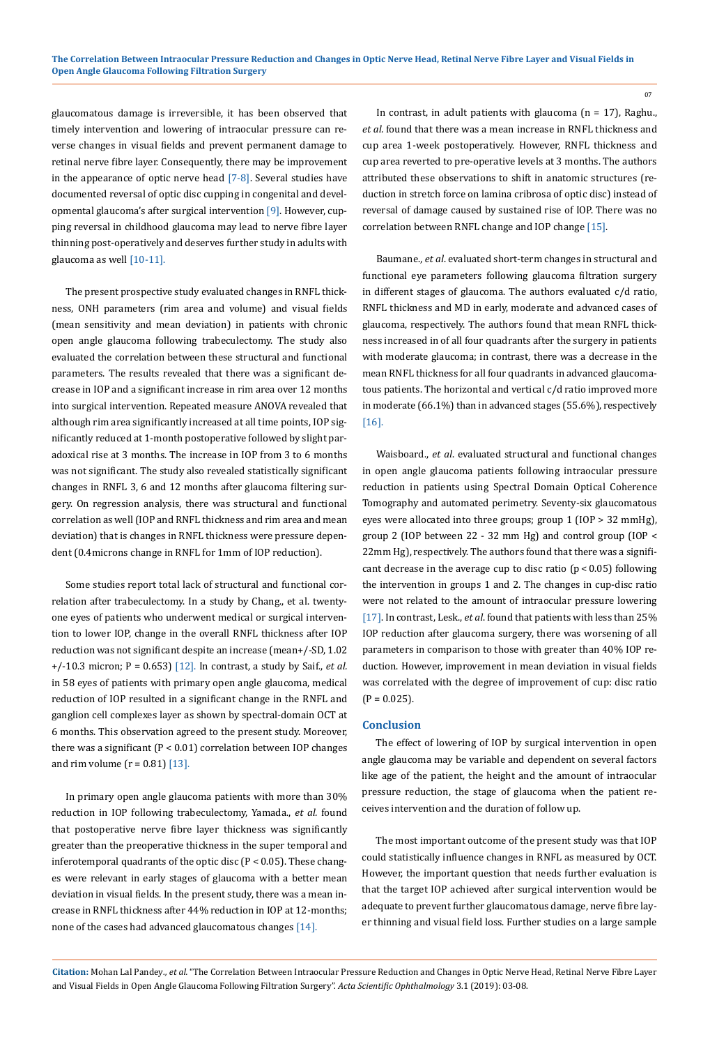glaucomatous damage is irreversible, it has been observed that timely intervention and lowering of intraocular pressure can reverse changes in visual fields and prevent permanent damage to retinal nerve fibre layer. Consequently, there may be improvement in the appearance of optic nerve head  $[7-8]$ . Several studies have documented reversal of optic disc cupping in congenital and developmental glaucoma's after surgical intervention [9]. However, cupping reversal in childhood glaucoma may lead to nerve fibre layer thinning post-operatively and deserves further study in adults with glaucoma as well [10-11].

The present prospective study evaluated changes in RNFL thickness, ONH parameters (rim area and volume) and visual fields (mean sensitivity and mean deviation) in patients with chronic open angle glaucoma following trabeculectomy. The study also evaluated the correlation between these structural and functional parameters. The results revealed that there was a significant decrease in IOP and a significant increase in rim area over 12 months into surgical intervention. Repeated measure ANOVA revealed that although rim area significantly increased at all time points, IOP significantly reduced at 1-month postoperative followed by slight paradoxical rise at 3 months. The increase in IOP from 3 to 6 months was not significant. The study also revealed statistically significant changes in RNFL 3, 6 and 12 months after glaucoma filtering surgery. On regression analysis, there was structural and functional correlation as well (IOP and RNFL thickness and rim area and mean deviation) that is changes in RNFL thickness were pressure dependent (0.4microns change in RNFL for 1mm of IOP reduction).

Some studies report total lack of structural and functional correlation after trabeculectomy. In a study by Chang., et al. twentyone eyes of patients who underwent medical or surgical intervention to lower IOP, change in the overall RNFL thickness after IOP reduction was not significant despite an increase (mean+/-SD, 1.02 +/-10.3 micron; P = 0.653) [12]. In contrast, a study by Saif., *et al.*  in 58 eyes of patients with primary open angle glaucoma, medical reduction of IOP resulted in a significant change in the RNFL and ganglion cell complexes layer as shown by spectral-domain OCT at 6 months. This observation agreed to the present study. Moreover, there was a significant (P < 0.01) correlation between IOP changes and rim volume  $(r = 0.81)$  [13].

In primary open angle glaucoma patients with more than 30% reduction in IOP following trabeculectomy, Yamada., *et al.* found that postoperative nerve fibre layer thickness was significantly greater than the preoperative thickness in the super temporal and inferotemporal quadrants of the optic disc (P < 0.05). These changes were relevant in early stages of glaucoma with a better mean deviation in visual fields. In the present study, there was a mean increase in RNFL thickness after 44% reduction in IOP at 12-months; none of the cases had advanced glaucomatous changes [14].

In contrast, in adult patients with glaucoma ( $n = 17$ ), Raghu., *et al.* found that there was a mean increase in RNFL thickness and cup area 1-week postoperatively. However, RNFL thickness and cup area reverted to pre-operative levels at 3 months. The authors attributed these observations to shift in anatomic structures (reduction in stretch force on lamina cribrosa of optic disc) instead of reversal of damage caused by sustained rise of IOP. There was no correlation between RNFL change and IOP change [15].

Baumane., *et al*. evaluated short-term changes in structural and functional eye parameters following glaucoma filtration surgery in different stages of glaucoma. The authors evaluated c/d ratio, RNFL thickness and MD in early, moderate and advanced cases of glaucoma, respectively. The authors found that mean RNFL thickness increased in of all four quadrants after the surgery in patients with moderate glaucoma; in contrast, there was a decrease in the mean RNFL thickness for all four quadrants in advanced glaucomatous patients. The horizontal and vertical c/d ratio improved more in moderate (66.1%) than in advanced stages (55.6%), respectively [16].

Waisboard., *et al*. evaluated structural and functional changes in open angle glaucoma patients following intraocular pressure reduction in patients using Spectral Domain Optical Coherence Tomography and automated perimetry. Seventy-six glaucomatous eyes were allocated into three groups; group 1 (IOP > 32 mmHg), group 2 (IOP between 22 - 32 mm Hg) and control group (IOP < 22mm Hg), respectively. The authors found that there was a significant decrease in the average cup to disc ratio  $(p < 0.05)$  following the intervention in groups 1 and 2. The changes in cup-disc ratio were not related to the amount of intraocular pressure lowering [17]. In contrast, Lesk., *et al*. found that patients with less than 25% IOP reduction after glaucoma surgery, there was worsening of all parameters in comparison to those with greater than 40% IOP reduction. However, improvement in mean deviation in visual fields was correlated with the degree of improvement of cup: disc ratio  $(P = 0.025)$ .

### **Conclusion**

The effect of lowering of IOP by surgical intervention in open angle glaucoma may be variable and dependent on several factors like age of the patient, the height and the amount of intraocular pressure reduction, the stage of glaucoma when the patient receives intervention and the duration of follow up.

The most important outcome of the present study was that IOP could statistically influence changes in RNFL as measured by OCT. However, the important question that needs further evaluation is that the target IOP achieved after surgical intervention would be adequate to prevent further glaucomatous damage, nerve fibre layer thinning and visual field loss. Further studies on a large sample

**Citation:** Mohan Lal Pandey*., et al.* "The Correlation Between Intraocular Pressure Reduction and Changes in Optic Nerve Head, Retinal Nerve Fibre Layer and Visual Fields in Open Angle Glaucoma Following Filtration Surgery". *Acta Scientific Ophthalmology* 3.1 (2019): 03-08.

07